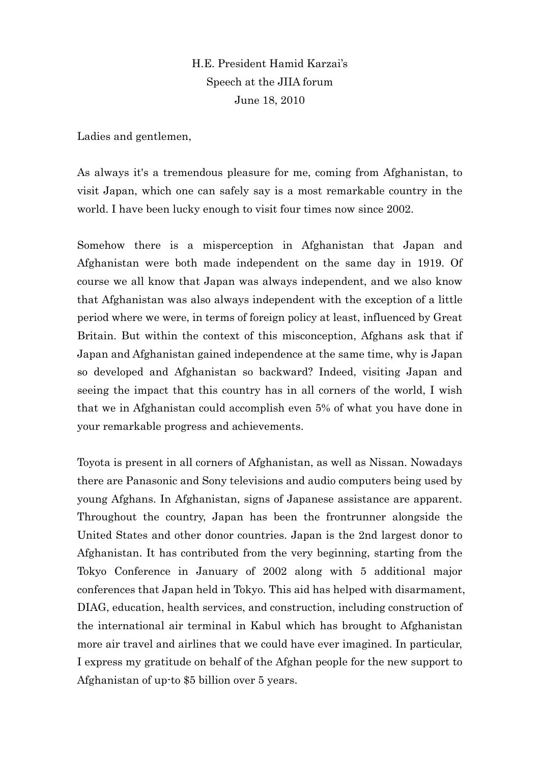H.E. President Hamid Karzai's Speech at the JIIA forum June 18, 2010

Ladies and gentlemen,

As always it's a tremendous pleasure for me, coming from Afghanistan, to visit Japan, which one can safely say is a most remarkable country in the world. I have been lucky enough to visit four times now since 2002.

Somehow there is a misperception in Afghanistan that Japan and Afghanistan were both made independent on the same day in 1919. Of course we all know that Japan was always independent, and we also know that Afghanistan was also always independent with the exception of a little period where we were, in terms of foreign policy at least, influenced by Great Britain. But within the context of this misconception, Afghans ask that if Japan and Afghanistan gained independence at the same time, why is Japan so developed and Afghanistan so backward? Indeed, visiting Japan and seeing the impact that this country has in all corners of the world, I wish that we in Afghanistan could accomplish even 5% of what you have done in your remarkable progress and achievements.

Toyota is present in all corners of Afghanistan, as well as Nissan. Nowadays there are Panasonic and Sony televisions and audio computers being used by young Afghans. In Afghanistan, signs of Japanese assistance are apparent. Throughout the country, Japan has been the frontrunner alongside the United States and other donor countries. Japan is the 2nd largest donor to Afghanistan. It has contributed from the very beginning, starting from the Tokyo Conference in January of 2002 along with 5 additional major conferences that Japan held in Tokyo. This aid has helped with disarmament, DIAG, education, health services, and construction, including construction of the international air terminal in Kabul which has brought to Afghanistan more air travel and airlines that we could have ever imagined. In particular, I express my gratitude on behalf of the Afghan people for the new support to Afghanistan of up-to \$5 billion over 5 years.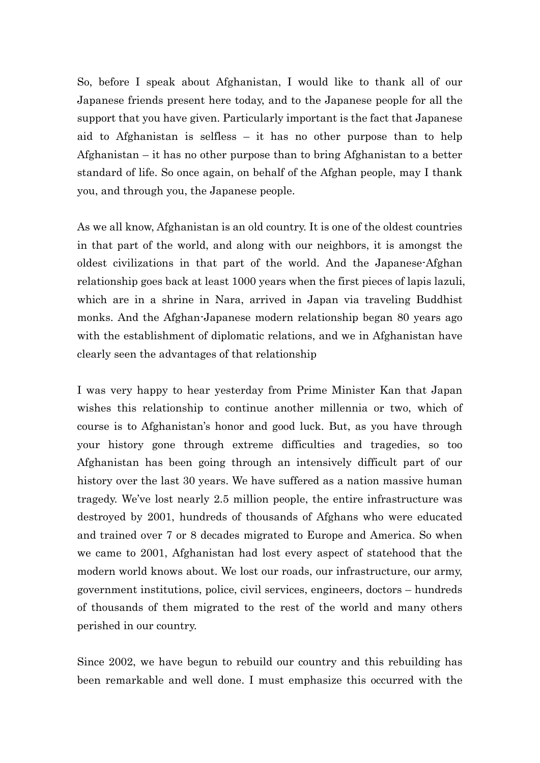So, before I speak about Afghanistan, I would like to thank all of our Japanese friends present here today, and to the Japanese people for all the support that you have given. Particularly important is the fact that Japanese aid to Afghanistan is selfless – it has no other purpose than to help Afghanistan – it has no other purpose than to bring Afghanistan to a better standard of life. So once again, on behalf of the Afghan people, may I thank you, and through you, the Japanese people.

As we all know, Afghanistan is an old country. It is one of the oldest countries in that part of the world, and along with our neighbors, it is amongst the oldest civilizations in that part of the world. And the Japanese-Afghan relationship goes back at least 1000 years when the first pieces of lapis lazuli, which are in a shrine in Nara, arrived in Japan via traveling Buddhist monks. And the Afghan-Japanese modern relationship began 80 years ago with the establishment of diplomatic relations, and we in Afghanistan have clearly seen the advantages of that relationship

I was very happy to hear yesterday from Prime Minister Kan that Japan wishes this relationship to continue another millennia or two, which of course is to Afghanistan's honor and good luck. But, as you have through your history gone through extreme difficulties and tragedies, so too Afghanistan has been going through an intensively difficult part of our history over the last 30 years. We have suffered as a nation massive human tragedy. We've lost nearly 2.5 million people, the entire infrastructure was destroyed by 2001, hundreds of thousands of Afghans who were educated and trained over 7 or 8 decades migrated to Europe and America. So when we came to 2001, Afghanistan had lost every aspect of statehood that the modern world knows about. We lost our roads, our infrastructure, our army, government institutions, police, civil services, engineers, doctors – hundreds of thousands of them migrated to the rest of the world and many others perished in our country.

Since 2002, we have begun to rebuild our country and this rebuilding has been remarkable and well done. I must emphasize this occurred with the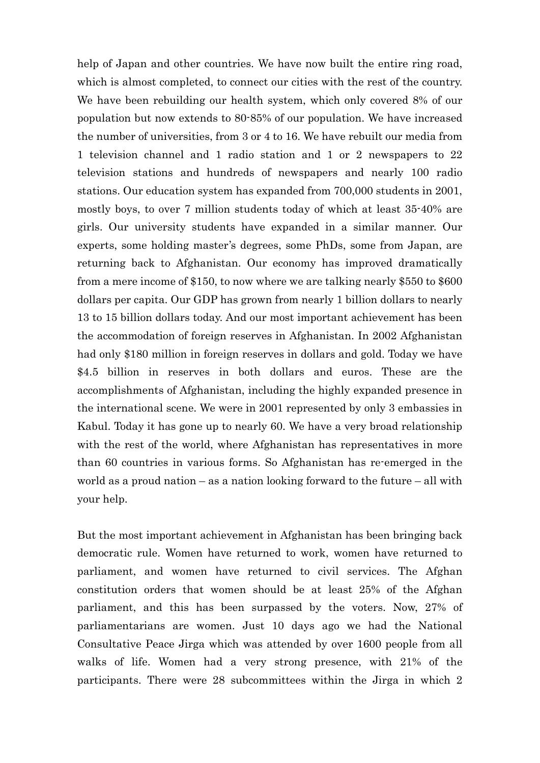help of Japan and other countries. We have now built the entire ring road, which is almost completed, to connect our cities with the rest of the country. We have been rebuilding our health system, which only covered 8% of our population but now extends to 80-85% of our population. We have increased the number of universities, from 3 or 4 to 16. We have rebuilt our media from 1 television channel and 1 radio station and 1 or 2 newspapers to 22 television stations and hundreds of newspapers and nearly 100 radio stations. Our education system has expanded from 700,000 students in 2001, mostly boys, to over 7 million students today of which at least 35-40% are girls. Our university students have expanded in a similar manner. Our experts, some holding master's degrees, some PhDs, some from Japan, are returning back to Afghanistan. Our economy has improved dramatically from a mere income of \$150, to now where we are talking nearly \$550 to \$600 dollars per capita. Our GDP has grown from nearly 1 billion dollars to nearly 13 to 15 billion dollars today. And our most important achievement has been the accommodation of foreign reserves in Afghanistan. In 2002 Afghanistan had only \$180 million in foreign reserves in dollars and gold. Today we have \$4.5 billion in reserves in both dollars and euros. These are the accomplishments of Afghanistan, including the highly expanded presence in the international scene. We were in 2001 represented by only 3 embassies in Kabul. Today it has gone up to nearly 60. We have a very broad relationship with the rest of the world, where Afghanistan has representatives in more than 60 countries in various forms. So Afghanistan has re-emerged in the world as a proud nation – as a nation looking forward to the future – all with your help.

But the most important achievement in Afghanistan has been bringing back democratic rule. Women have returned to work, women have returned to parliament, and women have returned to civil services. The Afghan constitution orders that women should be at least 25% of the Afghan parliament, and this has been surpassed by the voters. Now, 27% of parliamentarians are women. Just 10 days ago we had the National Consultative Peace Jirga which was attended by over 1600 people from all walks of life. Women had a very strong presence, with 21% of the participants. There were 28 subcommittees within the Jirga in which 2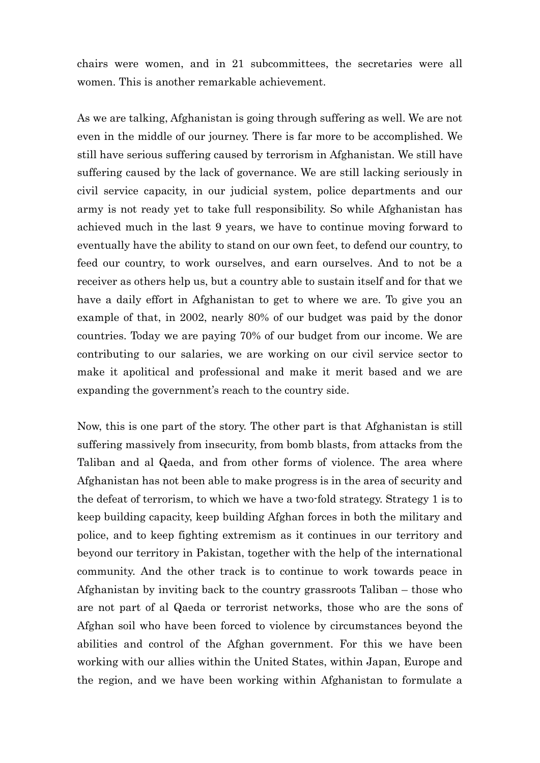chairs were women, and in 21 subcommittees, the secretaries were all women. This is another remarkable achievement.

As we are talking, Afghanistan is going through suffering as well. We are not even in the middle of our journey. There is far more to be accomplished. We still have serious suffering caused by terrorism in Afghanistan. We still have suffering caused by the lack of governance. We are still lacking seriously in civil service capacity, in our judicial system, police departments and our army is not ready yet to take full responsibility. So while Afghanistan has achieved much in the last 9 years, we have to continue moving forward to eventually have the ability to stand on our own feet, to defend our country, to feed our country, to work ourselves, and earn ourselves. And to not be a receiver as others help us, but a country able to sustain itself and for that we have a daily effort in Afghanistan to get to where we are. To give you an example of that, in 2002, nearly 80% of our budget was paid by the donor countries. Today we are paying 70% of our budget from our income. We are contributing to our salaries, we are working on our civil service sector to make it apolitical and professional and make it merit based and we are expanding the government's reach to the country side.

Now, this is one part of the story. The other part is that Afghanistan is still suffering massively from insecurity, from bomb blasts, from attacks from the Taliban and al Qaeda, and from other forms of violence. The area where Afghanistan has not been able to make progress is in the area of security and the defeat of terrorism, to which we have a two-fold strategy. Strategy 1 is to keep building capacity, keep building Afghan forces in both the military and police, and to keep fighting extremism as it continues in our territory and beyond our territory in Pakistan, together with the help of the international community. And the other track is to continue to work towards peace in Afghanistan by inviting back to the country grassroots Taliban – those who are not part of al Qaeda or terrorist networks, those who are the sons of Afghan soil who have been forced to violence by circumstances beyond the abilities and control of the Afghan government. For this we have been working with our allies within the United States, within Japan, Europe and the region, and we have been working within Afghanistan to formulate a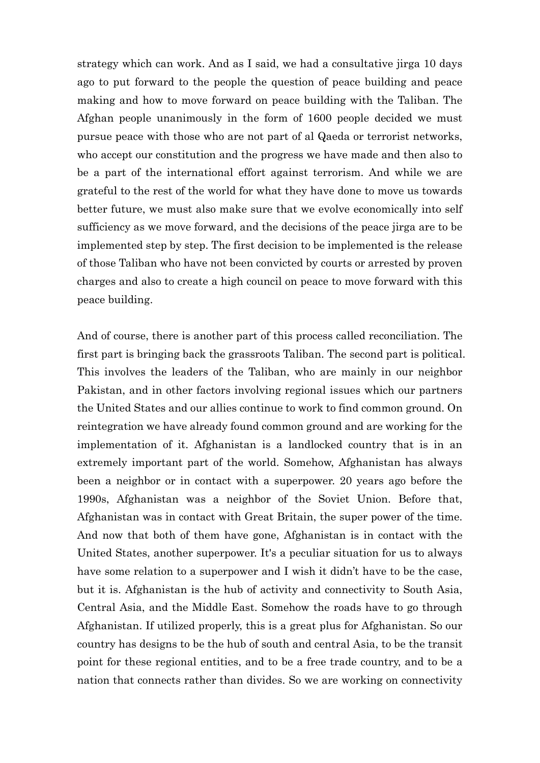strategy which can work. And as I said, we had a consultative jirga 10 days ago to put forward to the people the question of peace building and peace making and how to move forward on peace building with the Taliban. The Afghan people unanimously in the form of 1600 people decided we must pursue peace with those who are not part of al Qaeda or terrorist networks, who accept our constitution and the progress we have made and then also to be a part of the international effort against terrorism. And while we are grateful to the rest of the world for what they have done to move us towards better future, we must also make sure that we evolve economically into self sufficiency as we move forward, and the decisions of the peace jirga are to be implemented step by step. The first decision to be implemented is the release of those Taliban who have not been convicted by courts or arrested by proven charges and also to create a high council on peace to move forward with this peace building.

And of course, there is another part of this process called reconciliation. The first part is bringing back the grassroots Taliban. The second part is political. This involves the leaders of the Taliban, who are mainly in our neighbor Pakistan, and in other factors involving regional issues which our partners the United States and our allies continue to work to find common ground. On reintegration we have already found common ground and are working for the implementation of it. Afghanistan is a landlocked country that is in an extremely important part of the world. Somehow, Afghanistan has always been a neighbor or in contact with a superpower. 20 years ago before the 1990s, Afghanistan was a neighbor of the Soviet Union. Before that, Afghanistan was in contact with Great Britain, the super power of the time. And now that both of them have gone, Afghanistan is in contact with the United States, another superpower. It's a peculiar situation for us to always have some relation to a superpower and I wish it didn't have to be the case, but it is. Afghanistan is the hub of activity and connectivity to South Asia, Central Asia, and the Middle East. Somehow the roads have to go through Afghanistan. If utilized properly, this is a great plus for Afghanistan. So our country has designs to be the hub of south and central Asia, to be the transit point for these regional entities, and to be a free trade country, and to be a nation that connects rather than divides. So we are working on connectivity